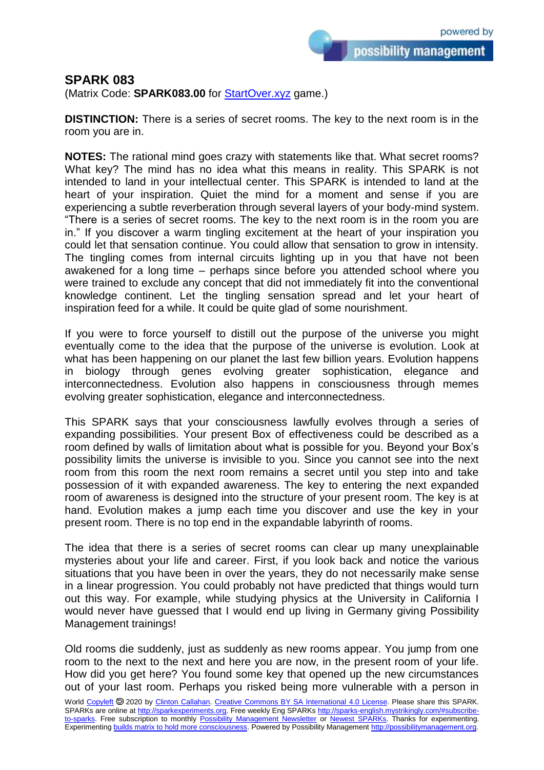possibility management

## **SPARK 083**

(Matrix Code: **SPARK083.00** for [StartOver.xyz](https://startoverxyz.mystrikingly.com/) game.)

**DISTINCTION:** There is a series of secret rooms. The key to the next room is in the room you are in.

**NOTES:** The rational mind goes crazy with statements like that. What secret rooms? What key? The mind has no idea what this means in reality. This SPARK is not intended to land in your intellectual center. This SPARK is intended to land at the heart of your inspiration. Quiet the mind for a moment and sense if you are experiencing a subtle reverberation through several layers of your body-mind system. "There is a series of secret rooms. The key to the next room is in the room you are in." If you discover a warm tingling excitement at the heart of your inspiration you could let that sensation continue. You could allow that sensation to grow in intensity. The tingling comes from internal circuits lighting up in you that have not been awakened for a long time – perhaps since before you attended school where you were trained to exclude any concept that did not immediately fit into the conventional knowledge continent. Let the tingling sensation spread and let your heart of inspiration feed for a while. It could be quite glad of some nourishment.

If you were to force yourself to distill out the purpose of the universe you might eventually come to the idea that the purpose of the universe is evolution. Look at what has been happening on our planet the last few billion years. Evolution happens in biology through genes evolving greater sophistication, elegance and interconnectedness. Evolution also happens in consciousness through memes evolving greater sophistication, elegance and interconnectedness.

This SPARK says that your consciousness lawfully evolves through a series of expanding possibilities. Your present Box of effectiveness could be described as a room defined by walls of limitation about what is possible for you. Beyond your Box's possibility limits the universe is invisible to you. Since you cannot see into the next room from this room the next room remains a secret until you step into and take possession of it with expanded awareness. The key to entering the next expanded room of awareness is designed into the structure of your present room. The key is at hand. Evolution makes a jump each time you discover and use the key in your present room. There is no top end in the expandable labyrinth of rooms.

The idea that there is a series of secret rooms can clear up many unexplainable mysteries about your life and career. First, if you look back and notice the various situations that you have been in over the years, they do not necessarily make sense in a linear progression. You could probably not have predicted that things would turn out this way. For example, while studying physics at the University in California I would never have guessed that I would end up living in Germany giving Possibility Management trainings!

Old rooms die suddenly, just as suddenly as new rooms appear. You jump from one room to the next to the next and here you are now, in the present room of your life. How did you get here? You found some key that opened up the new circumstances out of your last room. Perhaps you risked being more vulnerable with a person in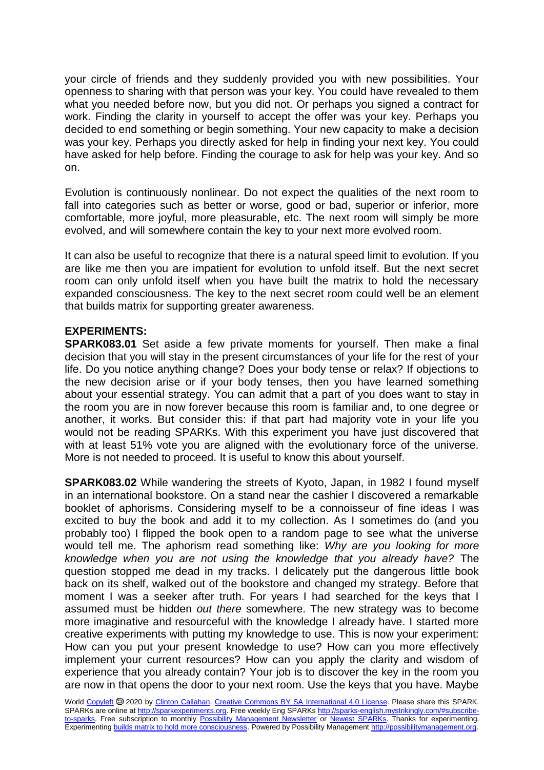your circle of friends and they suddenly provided you with new possibilities. Your openness to sharing with that person was your key. You could have revealed to them what you needed before now, but you did not. Or perhaps you signed a contract for work. Finding the clarity in yourself to accept the offer was your key. Perhaps you decided to end something or begin something. Your new capacity to make a decision was your key. Perhaps you directly asked for help in finding your next key. You could have asked for help before. Finding the courage to ask for help was your key. And so on.

Evolution is continuously nonlinear. Do not expect the qualities of the next room to fall into categories such as better or worse, good or bad, superior or inferior, more comfortable, more joyful, more pleasurable, etc. The next room will simply be more evolved, and will somewhere contain the key to your next more evolved room.

It can also be useful to recognize that there is a natural speed limit to evolution. If you are like me then you are impatient for evolution to unfold itself. But the next secret room can only unfold itself when you have built the matrix to hold the necessary expanded consciousness. The key to the next secret room could well be an element that builds matrix for supporting greater awareness.

## **EXPERIMENTS:**

**SPARK083.01** Set aside a few private moments for yourself. Then make a final decision that you will stay in the present circumstances of your life for the rest of your life. Do you notice anything change? Does your body tense or relax? If objections to the new decision arise or if your body tenses, then you have learned something about your essential strategy. You can admit that a part of you does want to stay in the room you are in now forever because this room is familiar and, to one degree or another, it works. But consider this: if that part had majority vote in your life you would not be reading SPARKs. With this experiment you have just discovered that with at least 51% vote you are aligned with the evolutionary force of the universe. More is not needed to proceed. It is useful to know this about yourself.

**SPARK083.02** While wandering the streets of Kyoto, Japan, in 1982 I found myself in an international bookstore. On a stand near the cashier I discovered a remarkable booklet of aphorisms. Considering myself to be a connoisseur of fine ideas I was excited to buy the book and add it to my collection. As I sometimes do (and you probably too) I flipped the book open to a random page to see what the universe would tell me. The aphorism read something like: *Why are you looking for more knowledge when you are not using the knowledge that you already have?* The question stopped me dead in my tracks. I delicately put the dangerous little book back on its shelf, walked out of the bookstore and changed my strategy. Before that moment I was a seeker after truth. For years I had searched for the keys that I assumed must be hidden *out there* somewhere. The new strategy was to become more imaginative and resourceful with the knowledge I already have. I started more creative experiments with putting my knowledge to use. This is now your experiment: How can you put your present knowledge to use? How can you more effectively implement your current resources? How can you apply the clarity and wisdom of experience that you already contain? Your job is to discover the key in the room you are now in that opens the door to your next room. Use the keys that you have. Maybe